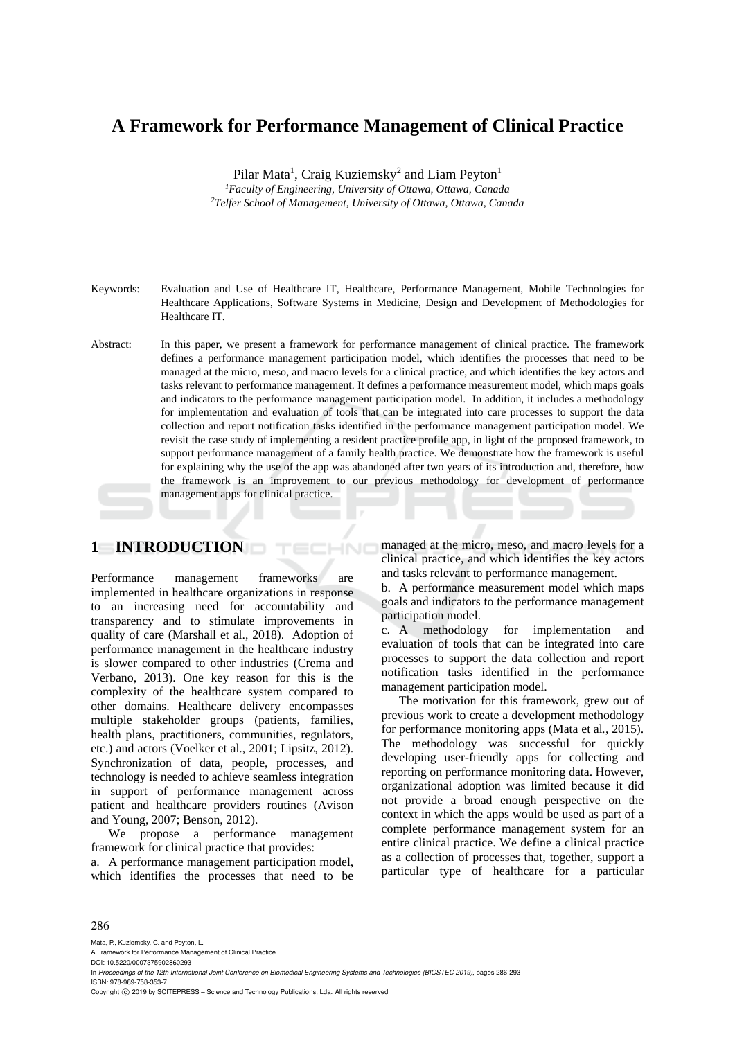# **A Framework for Performance Management of Clinical Practice**

Pilar Mata<sup>1</sup>, Craig Kuziemsky<sup>2</sup> and Liam Peyton<sup>1</sup>

<sup>1</sup> Faculty of Engineering, University of Ottawa, Ottawa, Canada <sup>2</sup>Telfer School of Management, University of Ottawa, Ottawa, Cana *Telfer School of Management, University of Ottawa, Ottawa, Canada* 

- Keywords: Evaluation and Use of Healthcare IT, Healthcare, Performance Management, Mobile Technologies for Healthcare Applications, Software Systems in Medicine, Design and Development of Methodologies for Healthcare IT.
- Abstract: In this paper, we present a framework for performance management of clinical practice. The framework defines a performance management participation model, which identifies the processes that need to be managed at the micro, meso, and macro levels for a clinical practice, and which identifies the key actors and tasks relevant to performance management. It defines a performance measurement model, which maps goals and indicators to the performance management participation model. In addition, it includes a methodology for implementation and evaluation of tools that can be integrated into care processes to support the data collection and report notification tasks identified in the performance management participation model. We revisit the case study of implementing a resident practice profile app, in light of the proposed framework, to support performance management of a family health practice. We demonstrate how the framework is useful for explaining why the use of the app was abandoned after two years of its introduction and, therefore, how the framework is an improvement to our previous methodology for development of performance management apps for clinical practice.

## **1 INTRODUCTION**

Performance management frameworks are implemented in healthcare organizations in response to an increasing need for accountability and transparency and to stimulate improvements in quality of care (Marshall et al., 2018). Adoption of performance management in the healthcare industry is slower compared to other industries (Crema and Verbano, 2013). One key reason for this is the complexity of the healthcare system compared to other domains. Healthcare delivery encompasses multiple stakeholder groups (patients, families, health plans, practitioners, communities, regulators, etc.) and actors (Voelker et al., 2001; Lipsitz, 2012). Synchronization of data, people, processes, and technology is needed to achieve seamless integration in support of performance management across patient and healthcare providers routines (Avison and Young, 2007; Benson, 2012).

We propose a performance management framework for clinical practice that provides:

a. A performance management participation model, which identifies the processes that need to be

managed at the micro, meso, and macro levels for a clinical practice, and which identifies the key actors and tasks relevant to performance management.

b. A performance measurement model which maps goals and indicators to the performance management participation model.

c. A methodology for implementation and evaluation of tools that can be integrated into care processes to support the data collection and report notification tasks identified in the performance management participation model.

The motivation for this framework, grew out of previous work to create a development methodology for performance monitoring apps (Mata et al*.*, 2015). The methodology was successful for quickly developing user-friendly apps for collecting and reporting on performance monitoring data. However, organizational adoption was limited because it did not provide a broad enough perspective on the context in which the apps would be used as part of a complete performance management system for an entire clinical practice. We define a clinical practice as a collection of processes that, together, support a particular type of healthcare for a particular

#### 286

Mata, P., Kuziemsky, C. and Peyton, L.

A Framework for Performance Management of Clinical Practice. DOI: 10.5220/0007375902860293

In *Proceedings of the 12th International Joint Conference on Biomedical Engineering Systems and Technologies (BIOSTEC 2019)*, pages 286-293 ISBN: 978-989-758-353-7

Copyright © 2019 by SCITEPRESS - Science and Technology Publications, Lda. All rights reserved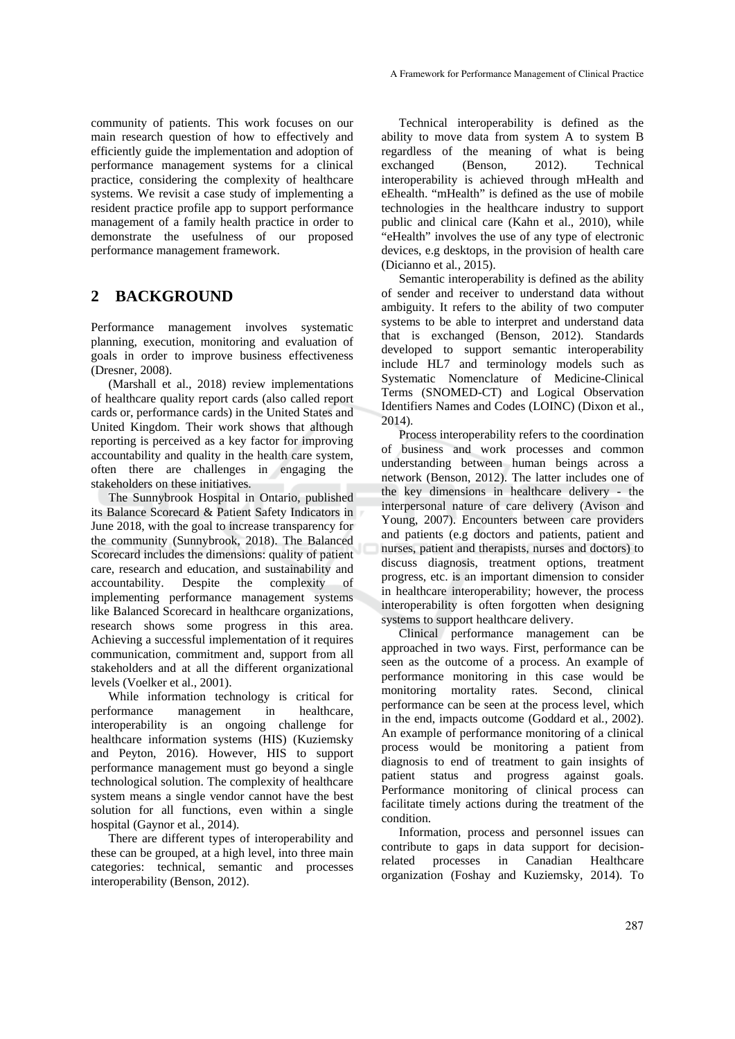community of patients. This work focuses on our main research question of how to effectively and efficiently guide the implementation and adoption of performance management systems for a clinical practice, considering the complexity of healthcare systems. We revisit a case study of implementing a resident practice profile app to support performance management of a family health practice in order to demonstrate the usefulness of our proposed performance management framework.

## **2 BACKGROUND**

Performance management involves systematic planning, execution, monitoring and evaluation of goals in order to improve business effectiveness (Dresner, 2008).

(Marshall et al., 2018) review implementations of healthcare quality report cards (also called report cards or, performance cards) in the United States and United Kingdom. Their work shows that although reporting is perceived as a key factor for improving accountability and quality in the health care system, often there are challenges in engaging the stakeholders on these initiatives.

The Sunnybrook Hospital in Ontario, published its Balance Scorecard & Patient Safety Indicators in June 2018, with the goal to increase transparency for the community (Sunnybrook, 2018). The Balanced Scorecard includes the dimensions: quality of patient care, research and education, and sustainability and accountability. Despite the complexity of implementing performance management systems like Balanced Scorecard in healthcare organizations, research shows some progress in this area. Achieving a successful implementation of it requires communication, commitment and, support from all stakeholders and at all the different organizational levels (Voelker et al., 2001).

While information technology is critical for performance management in healthcare, interoperability is an ongoing challenge for healthcare information systems (HIS) (Kuziemsky and Peyton, 2016). However, HIS to support performance management must go beyond a single technological solution. The complexity of healthcare system means a single vendor cannot have the best solution for all functions, even within a single hospital (Gaynor et al*.*, 2014).

There are different types of interoperability and these can be grouped, at a high level, into three main categories: technical, semantic and processes interoperability (Benson, 2012).

Technical interoperability is defined as the ability to move data from system A to system B regardless of the meaning of what is being exchanged (Benson, 2012). Technical interoperability is achieved through mHealth and eEhealth. "mHealth" is defined as the use of mobile technologies in the healthcare industry to support public and clinical care (Kahn et al., 2010), while "eHealth" involves the use of any type of electronic devices, e.g desktops, in the provision of health care (Dicianno et al*.*, 2015).

Semantic interoperability is defined as the ability of sender and receiver to understand data without ambiguity. It refers to the ability of two computer systems to be able to interpret and understand data that is exchanged (Benson, 2012). Standards developed to support semantic interoperability include HL7 and terminology models such as Systematic Nomenclature of Medicine-Clinical Terms (SNOMED-CT) and Logical Observation Identifiers Names and Codes (LOINC) (Dixon et al., 2014).

Process interoperability refers to the coordination of business and work processes and common understanding between human beings across a network (Benson, 2012). The latter includes one of the key dimensions in healthcare delivery - the interpersonal nature of care delivery (Avison and Young, 2007). Encounters between care providers and patients (e.g doctors and patients, patient and nurses, patient and therapists, nurses and doctors) to discuss diagnosis, treatment options, treatment progress, etc. is an important dimension to consider in healthcare interoperability; however, the process interoperability is often forgotten when designing systems to support healthcare delivery.

Clinical performance management can be approached in two ways. First, performance can be seen as the outcome of a process. An example of performance monitoring in this case would be monitoring mortality rates. Second, clinical performance can be seen at the process level, which in the end, impacts outcome (Goddard et al*.*, 2002). An example of performance monitoring of a clinical process would be monitoring a patient from diagnosis to end of treatment to gain insights of patient status and progress against goals. Performance monitoring of clinical process can facilitate timely actions during the treatment of the condition.

Information, process and personnel issues can contribute to gaps in data support for decisionrelated processes in Canadian Healthcare organization (Foshay and Kuziemsky, 2014). To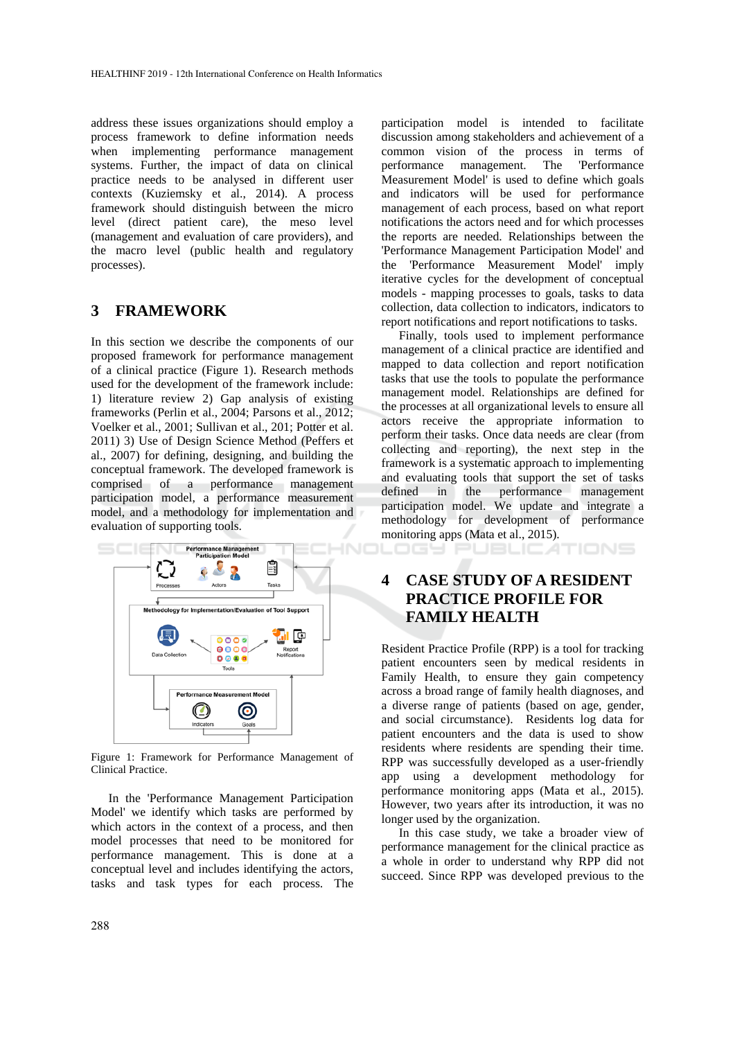address these issues organizations should employ a process framework to define information needs when implementing performance management systems. Further, the impact of data on clinical practice needs to be analysed in different user contexts (Kuziemsky et al., 2014). A process framework should distinguish between the micro level (direct patient care), the meso level (management and evaluation of care providers), and the macro level (public health and regulatory processes).

## **3 FRAMEWORK**

In this section we describe the components of our proposed framework for performance management of a clinical practice (Figure 1). Research methods used for the development of the framework include: 1) literature review 2) Gap analysis of existing frameworks (Perlin et al., 2004; Parsons et al., 2012; Voelker et al., 2001; Sullivan et al., 201; Potter et al. 2011) 3) Use of Design Science Method (Peffers et al., 2007) for defining, designing, and building the conceptual framework. The developed framework is comprised of a performance management participation model, a performance measurement model, and a methodology for implementation and evaluation of supporting tools.



Figure 1: Framework for Performance Management of Clinical Practice.

In the 'Performance Management Participation Model' we identify which tasks are performed by which actors in the context of a process, and then model processes that need to be monitored for performance management. This is done at a conceptual level and includes identifying the actors, tasks and task types for each process. The

participation model is intended to facilitate discussion among stakeholders and achievement of a common vision of the process in terms of performance management. The 'Performance Measurement Model' is used to define which goals and indicators will be used for performance management of each process, based on what report notifications the actors need and for which processes the reports are needed. Relationships between the 'Performance Management Participation Model' and the 'Performance Measurement Model' imply iterative cycles for the development of conceptual models - mapping processes to goals, tasks to data collection, data collection to indicators, indicators to report notifications and report notifications to tasks.

Finally, tools used to implement performance management of a clinical practice are identified and mapped to data collection and report notification tasks that use the tools to populate the performance management model. Relationships are defined for the processes at all organizational levels to ensure all actors receive the appropriate information to perform their tasks. Once data needs are clear (from collecting and reporting), the next step in the framework is a systematic approach to implementing and evaluating tools that support the set of tasks defined in the performance management participation model. We update and integrate a methodology for development of performance monitoring apps (Mata et al., 2015). DGY PUBLIC ATIONS

# **4 CASE STUDY OF A RESIDENT PRACTICE PROFILE FOR FAMILY HEALTH**

Resident Practice Profile (RPP) is a tool for tracking patient encounters seen by medical residents in Family Health, to ensure they gain competency across a broad range of family health diagnoses, and a diverse range of patients (based on age, gender, and social circumstance). Residents log data for patient encounters and the data is used to show residents where residents are spending their time. RPP was successfully developed as a user-friendly app using a development methodology for performance monitoring apps (Mata et al., 2015). However, two years after its introduction, it was no longer used by the organization.

In this case study, we take a broader view of performance management for the clinical practice as a whole in order to understand why RPP did not succeed. Since RPP was developed previous to the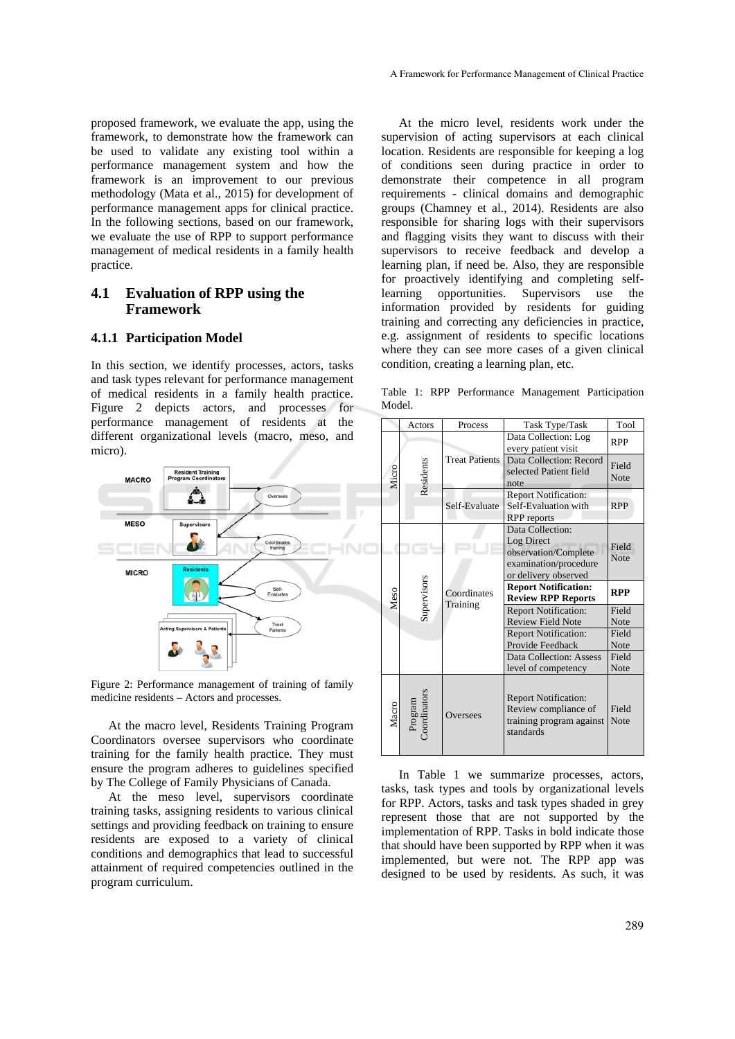proposed framework, we evaluate the app, using the framework, to demonstrate how the framework can be used to validate any existing tool within a performance management system and how the framework is an improvement to our previous methodology (Mata et al., 2015) for development of performance management apps for clinical practice. In the following sections, based on our framework, we evaluate the use of RPP to support performance management of medical residents in a family health practice.

### **4.1 Evaluation of RPP using the Framework**

#### **4.1.1 Participation Model**

In this section, we identify processes, actors, tasks and task types relevant for performance management of medical residents in a family health practice. Figure 2 depicts actors, and processes for performance management of residents at the different organizational levels (macro, meso, and micro).



Figure 2: Performance management of training of family medicine residents – Actors and processes.

At the macro level, Residents Training Program Coordinators oversee supervisors who coordinate training for the family health practice. They must ensure the program adheres to guidelines specified by The College of Family Physicians of Canada.

At the meso level, supervisors coordinate training tasks, assigning residents to various clinical settings and providing feedback on training to ensure residents are exposed to a variety of clinical conditions and demographics that lead to successful attainment of required competencies outlined in the program curriculum.

At the micro level, residents work under the supervision of acting supervisors at each clinical location. Residents are responsible for keeping a log of conditions seen during practice in order to demonstrate their competence in all program requirements - clinical domains and demographic groups (Chamney et al*.*, 2014). Residents are also responsible for sharing logs with their supervisors and flagging visits they want to discuss with their supervisors to receive feedback and develop a learning plan, if need be. Also, they are responsible for proactively identifying and completing selflearning opportunities. Supervisors use the information provided by residents for guiding training and correcting any deficiencies in practice, e.g. assignment of residents to specific locations where they can see more cases of a given clinical condition, creating a learning plan, etc.

Table 1: RPP Performance Management Participation Model.

|       | Actors                  | Process                                                                                                  | Task Type/Task                                                                                          | Tool                 |
|-------|-------------------------|----------------------------------------------------------------------------------------------------------|---------------------------------------------------------------------------------------------------------|----------------------|
| Micro | Residents               | <b>Treat Patients</b>                                                                                    | Data Collection: Log<br>every patient visit                                                             | <b>RPP</b>           |
|       |                         |                                                                                                          | Data Collection: Record<br>selected Patient field<br>note                                               | Field<br><b>Note</b> |
|       |                         | Self-Evaluate                                                                                            | <b>Report Notification:</b><br>Self-Evaluation with<br><b>RPP</b> reports                               | <b>RPP</b>           |
| Meso  | Supervisors             | Coordinates<br>Training                                                                                  | Data Collection:<br>Log Direct<br>observation/Complete<br>examination/procedure<br>or delivery observed | Field<br><b>Note</b> |
|       |                         |                                                                                                          | <b>Report Notification:</b><br><b>Review RPP Reports</b>                                                | <b>RPP</b>           |
|       |                         |                                                                                                          | <b>Report Notification:</b><br><b>Review Field Note</b>                                                 | Field<br><b>Note</b> |
|       |                         |                                                                                                          | <b>Report Notification:</b>                                                                             | Field                |
|       |                         |                                                                                                          | Provide Feedback                                                                                        | Note                 |
|       |                         |                                                                                                          | Data Collection: Assess<br>level of competency                                                          | Field<br>Note        |
| Macro | Program<br>Coordinators | <b>Report Notification:</b><br>Review compliance of<br>Oversees<br>training program against<br>standards |                                                                                                         | Field<br>Note        |

In Table 1 we summarize processes, actors, tasks, task types and tools by organizational levels for RPP. Actors, tasks and task types shaded in grey represent those that are not supported by the implementation of RPP. Tasks in bold indicate those that should have been supported by RPP when it was implemented, but were not. The RPP app was designed to be used by residents. As such, it was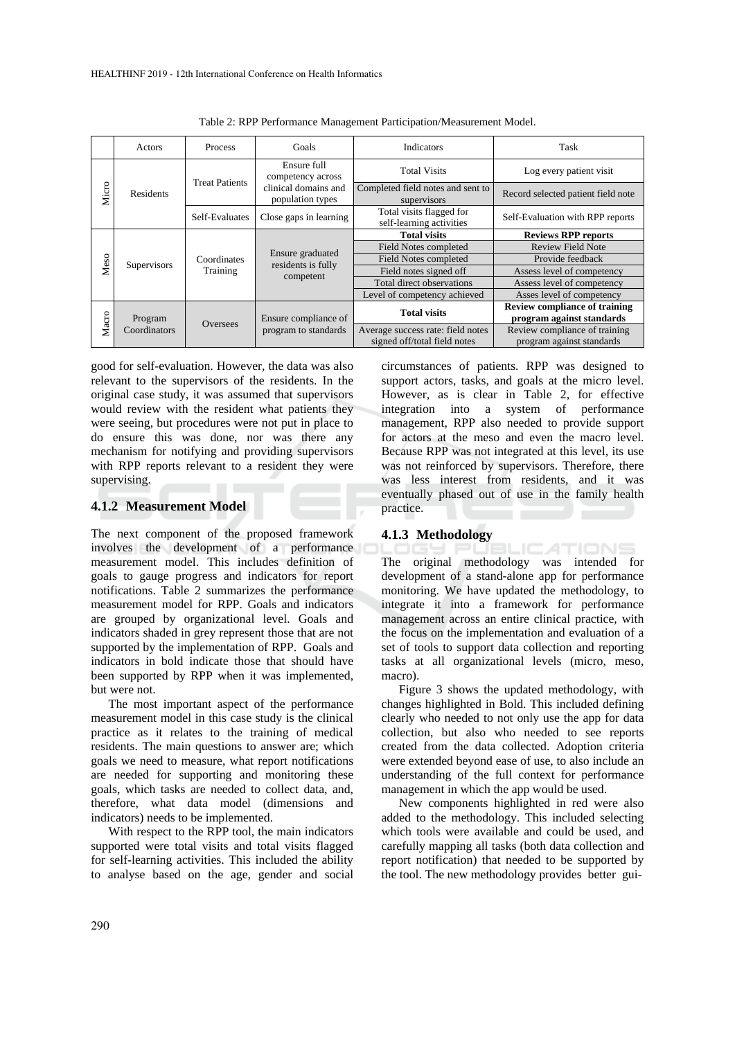|       | Actors                  | Process                 | Goals                                                                        | Indicators                                                        | Task                                                       |
|-------|-------------------------|-------------------------|------------------------------------------------------------------------------|-------------------------------------------------------------------|------------------------------------------------------------|
| Micro | Residents               | <b>Treat Patients</b>   | Ensure full<br>competency across<br>clinical domains and<br>population types | <b>Total Visits</b>                                               | Log every patient visit                                    |
|       |                         |                         |                                                                              | Completed field notes and sent to<br>supervisors                  | Record selected patient field note                         |
|       |                         | Self-Evaluates          | Close gaps in learning                                                       | Total visits flagged for<br>self-learning activities              | Self-Evaluation with RPP reports                           |
| Meso  | Supervisors             | Coordinates<br>Training | Ensure graduated<br>residents is fully<br>competent                          | <b>Total visits</b>                                               | <b>Reviews RPP reports</b>                                 |
|       |                         |                         |                                                                              | Field Notes completed                                             | <b>Review Field Note</b>                                   |
|       |                         |                         |                                                                              | Field Notes completed                                             | Provide feedback                                           |
|       |                         |                         |                                                                              | Field notes signed off                                            | Assess level of competency                                 |
|       |                         |                         |                                                                              | Total direct observations                                         | Assess level of competency                                 |
|       |                         |                         |                                                                              | Level of competency achieved                                      | Asses level of competency                                  |
| Macro | Program<br>Coordinators | Oversees                | Ensure compliance of<br>program to standards                                 | <b>Total visits</b>                                               | <b>Review compliance of training</b>                       |
|       |                         |                         |                                                                              |                                                                   | program against standards                                  |
|       |                         |                         |                                                                              | Average success rate: field notes<br>signed off/total field notes | Review compliance of training<br>program against standards |

Table 2: RPP Performance Management Participation/Measurement Model.

good for self-evaluation. However, the data was also relevant to the supervisors of the residents. In the original case study, it was assumed that supervisors would review with the resident what patients they were seeing, but procedures were not put in place to do ensure this was done, nor was there any mechanism for notifying and providing supervisors with RPP reports relevant to a resident they were supervising.

### **4.1.2 Measurement Model**

The next component of the proposed framework involves the development of a performance measurement model. This includes definition of goals to gauge progress and indicators for report notifications. Table 2 summarizes the performance measurement model for RPP. Goals and indicators are grouped by organizational level. Goals and indicators shaded in grey represent those that are not supported by the implementation of RPP. Goals and indicators in bold indicate those that should have been supported by RPP when it was implemented, but were not.

The most important aspect of the performance measurement model in this case study is the clinical practice as it relates to the training of medical residents. The main questions to answer are; which goals we need to measure, what report notifications are needed for supporting and monitoring these goals, which tasks are needed to collect data, and, therefore, what data model (dimensions and indicators) needs to be implemented.

With respect to the RPP tool, the main indicators supported were total visits and total visits flagged for self-learning activities. This included the ability to analyse based on the age, gender and social circumstances of patients. RPP was designed to support actors, tasks, and goals at the micro level. However, as is clear in Table 2, for effective integration into a system of performance management, RPP also needed to provide support for actors at the meso and even the macro level. Because RPP was not integrated at this level, its use was not reinforced by supervisors. Therefore, there was less interest from residents, and it was eventually phased out of use in the family health practice.

#### **4.1.3 Methodology**

**ICATIONS** The original methodology was intended for development of a stand-alone app for performance monitoring. We have updated the methodology, to integrate it into a framework for performance management across an entire clinical practice, with the focus on the implementation and evaluation of a set of tools to support data collection and reporting tasks at all organizational levels (micro, meso, macro).

Figure 3 shows the updated methodology, with changes highlighted in Bold. This included defining clearly who needed to not only use the app for data collection, but also who needed to see reports created from the data collected. Adoption criteria were extended beyond ease of use, to also include an understanding of the full context for performance management in which the app would be used.

New components highlighted in red were also added to the methodology. This included selecting which tools were available and could be used, and carefully mapping all tasks (both data collection and report notification) that needed to be supported by the tool. The new methodology provides better gui-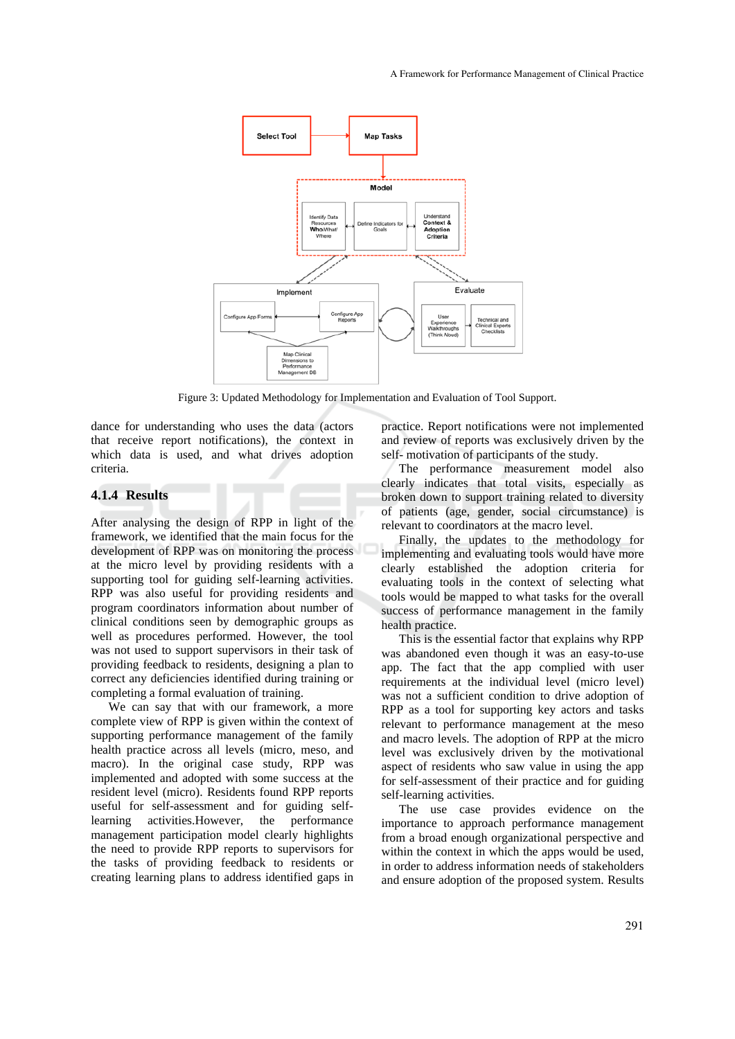

Figure 3: Updated Methodology for Implementation and Evaluation of Tool Support.

dance for understanding who uses the data (actors that receive report notifications), the context in which data is used, and what drives adoption criteria.

#### **4.1.4 Results**

After analysing the design of RPP in light of the framework, we identified that the main focus for the development of RPP was on monitoring the process at the micro level by providing residents with a supporting tool for guiding self-learning activities. RPP was also useful for providing residents and program coordinators information about number of clinical conditions seen by demographic groups as well as procedures performed. However, the tool was not used to support supervisors in their task of providing feedback to residents, designing a plan to correct any deficiencies identified during training or completing a formal evaluation of training.

We can say that with our framework, a more complete view of RPP is given within the context of supporting performance management of the family health practice across all levels (micro, meso, and macro). In the original case study, RPP was implemented and adopted with some success at the resident level (micro). Residents found RPP reports useful for self-assessment and for guiding selflearning activities.However, the performance management participation model clearly highlights the need to provide RPP reports to supervisors for the tasks of providing feedback to residents or creating learning plans to address identified gaps in

practice. Report notifications were not implemented and review of reports was exclusively driven by the self- motivation of participants of the study.

The performance measurement model also clearly indicates that total visits, especially as broken down to support training related to diversity of patients (age, gender, social circumstance) is relevant to coordinators at the macro level.

Finally, the updates to the methodology for implementing and evaluating tools would have more clearly established the adoption criteria for evaluating tools in the context of selecting what tools would be mapped to what tasks for the overall success of performance management in the family health practice.

This is the essential factor that explains why RPP was abandoned even though it was an easy-to-use app. The fact that the app complied with user requirements at the individual level (micro level) was not a sufficient condition to drive adoption of RPP as a tool for supporting key actors and tasks relevant to performance management at the meso and macro levels. The adoption of RPP at the micro level was exclusively driven by the motivational aspect of residents who saw value in using the app for self-assessment of their practice and for guiding self-learning activities.

The use case provides evidence on the importance to approach performance management from a broad enough organizational perspective and within the context in which the apps would be used, in order to address information needs of stakeholders and ensure adoption of the proposed system. Results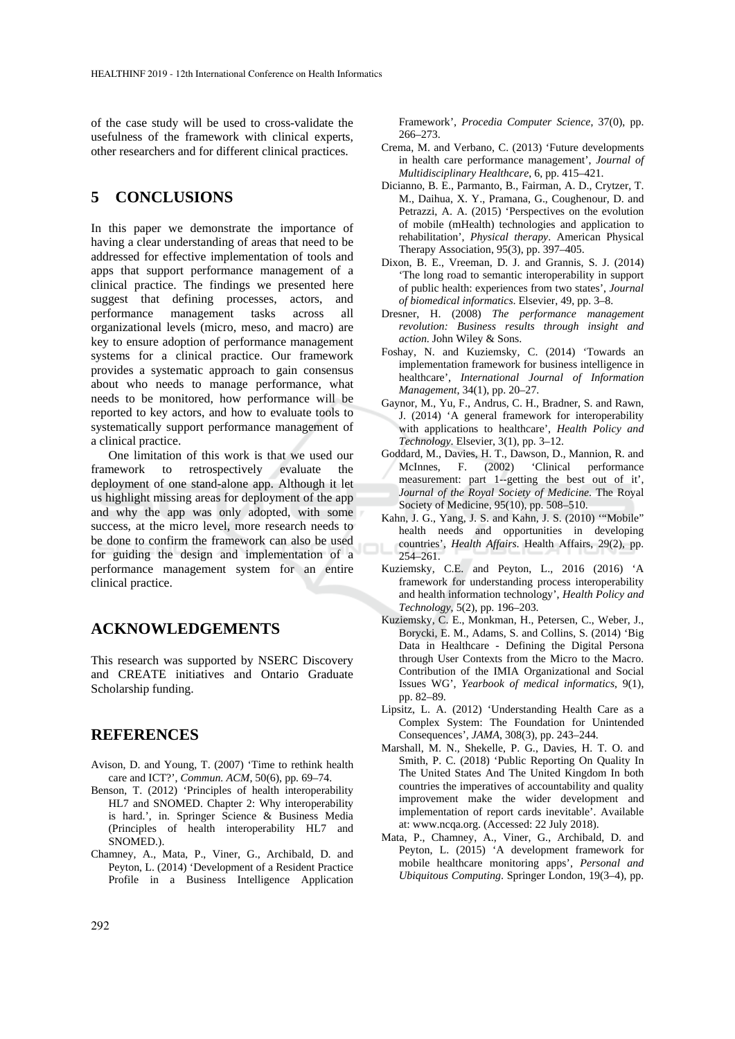of the case study will be used to cross-validate the usefulness of the framework with clinical experts, other researchers and for different clinical practices.

## **5 CONCLUSIONS**

In this paper we demonstrate the importance of having a clear understanding of areas that need to be addressed for effective implementation of tools and apps that support performance management of a clinical practice. The findings we presented here suggest that defining processes, actors, and performance management tasks across all organizational levels (micro, meso, and macro) are key to ensure adoption of performance management systems for a clinical practice. Our framework provides a systematic approach to gain consensus about who needs to manage performance, what needs to be monitored, how performance will be reported to key actors, and how to evaluate tools to systematically support performance management of a clinical practice.

One limitation of this work is that we used our framework to retrospectively evaluate the deployment of one stand-alone app. Although it let us highlight missing areas for deployment of the app and why the app was only adopted, with some success, at the micro level, more research needs to be done to confirm the framework can also be used for guiding the design and implementation of a performance management system for an entire clinical practice.

## **ACKNOWLEDGEMENTS**

This research was supported by NSERC Discovery and CREATE initiatives and Ontario Graduate Scholarship funding.

## **REFERENCES**

- Avison, D. and Young, T. (2007) 'Time to rethink health care and ICT?', *Commun. ACM*, 50(6), pp. 69–74.
- Benson, T. (2012) 'Principles of health interoperability HL7 and SNOMED. Chapter 2: Why interoperability is hard.', in. Springer Science & Business Media (Principles of health interoperability HL7 and SNOMED.).
- Chamney, A., Mata, P., Viner, G., Archibald, D. and Peyton, L. (2014) 'Development of a Resident Practice Profile in a Business Intelligence Application

Framework', *Procedia Computer Science*, 37(0), pp. 266–273.

- Crema, M. and Verbano, C. (2013) 'Future developments in health care performance management', *Journal of Multidisciplinary Healthcare*, 6, pp. 415–421.
- Dicianno, B. E., Parmanto, B., Fairman, A. D., Crytzer, T. M., Daihua, X. Y., Pramana, G., Coughenour, D. and Petrazzi, A. A. (2015) 'Perspectives on the evolution of mobile (mHealth) technologies and application to rehabilitation', *Physical therapy*. American Physical Therapy Association, 95(3), pp. 397–405.
- Dixon, B. E., Vreeman, D. J. and Grannis, S. J. (2014) 'The long road to semantic interoperability in support of public health: experiences from two states', *Journal of biomedical informatics*. Elsevier, 49, pp. 3–8.
- Dresner, H. (2008) *The performance management revolution: Business results through insight and action*. John Wiley & Sons.
- Foshay, N. and Kuziemsky, C. (2014) 'Towards an implementation framework for business intelligence in healthcare', *International Journal of Information Management*, 34(1), pp. 20–27.
- Gaynor, M., Yu, F., Andrus, C. H., Bradner, S. and Rawn, J. (2014) 'A general framework for interoperability with applications to healthcare', *Health Policy and Technology*. Elsevier, 3(1), pp. 3–12.
- Goddard, M., Davies, H. T., Dawson, D., Mannion, R. and McInnes, F. (2002) 'Clinical performance measurement: part 1--getting the best out of it', *Journal of the Royal Society of Medicine*. The Royal Society of Medicine, 95(10), pp. 508–510.
- Kahn, J. G., Yang, J. S. and Kahn, J. S. (2010) '"Mobile" health needs and opportunities in developing countries', *Health Affairs*. Health Affairs, 29(2), pp. 254–261.
- Kuziemsky, C.E. and Peyton, L., 2016 (2016) 'A framework for understanding process interoperability and health information technology', *Health Policy and Technology*, 5(2), pp. 196–203.
- Kuziemsky, C. E., Monkman, H., Petersen, C., Weber, J., Borycki, E. M., Adams, S. and Collins, S. (2014) 'Big Data in Healthcare - Defining the Digital Persona through User Contexts from the Micro to the Macro. Contribution of the IMIA Organizational and Social Issues WG', *Yearbook of medical informatics*, 9(1), pp. 82–89.
- Lipsitz, L. A. (2012) 'Understanding Health Care as a Complex System: The Foundation for Unintended Consequences', *JAMA*, 308(3), pp. 243–244.
- Marshall, M. N., Shekelle, P. G., Davies, H. T. O. and Smith, P. C. (2018) 'Public Reporting On Quality In The United States And The United Kingdom In both countries the imperatives of accountability and quality improvement make the wider development and implementation of report cards inevitable'. Available at: www.ncqa.org. (Accessed: 22 July 2018).
- Mata, P., Chamney, A., Viner, G., Archibald, D. and Peyton, L. (2015) 'A development framework for mobile healthcare monitoring apps', *Personal and Ubiquitous Computing*. Springer London, 19(3–4), pp.